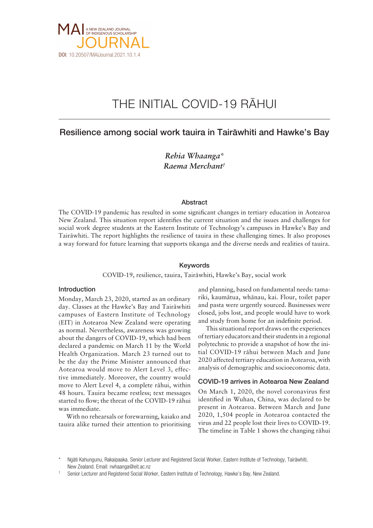

# THE INITIAL COVID-19 RÄHUI

## Resilience among social work tauira in Tairäwhiti and Hawke's Bay

*Rehia Whaanga\* Raema Merchant†*

#### Abstract

The COVID-19 pandemic has resulted in some significant changes in tertiary education in Aotearoa New Zealand. This situation report identifies the current situation and the issues and challenges for social work degree students at the Eastern Institute of Technology's campuses in Hawke's Bay and Tairäwhiti. The report highlights the resilience of tauira in these challenging times. It also proposes a way forward for future learning that supports tikanga and the diverse needs and realities of tauira.

#### Keywords

COVID-19, resilience, tauira, Tairäwhiti, Hawke's Bay, social work

#### Introduction

Monday, March 23, 2020, started as an ordinary day. Classes at the Hawke's Bay and Tairäwhiti campuses of Eastern Institute of Technology (EIT) in Aotearoa New Zealand were operating as normal. Nevertheless, awareness was growing about the dangers of COVID-19, which had been declared a pandemic on March 11 by the World Health Organization. March 23 turned out to be the day the Prime Minister announced that Aotearoa would move to Alert Level 3, effective immediately. Moreover, the country would move to Alert Level 4, a complete rähui, within 48 hours. Tauira became restless; text messages started to flow; the threat of the COVID-19 rähui was immediate.

With no rehearsals or forewarning, kaiako and tauira alike turned their attention to prioritising and planning, based on fundamental needs: tamariki, kaumätua, whänau, kai. Flour, toilet paper and pasta were urgently sourced. Businesses were closed, jobs lost, and people would have to work and study from home for an indefinite period.

This situational report draws on the experiences of tertiary educators and their students in a regional polytechnic to provide a snapshot of how the initial COVID-19 rähui between Mach and June 2020 affected tertiary education in Aotearoa, with analysis of demographic and socioeconomic data.

#### COVID-19 arrives in Aotearoa New Zealand

On March 1, 2020, the novel coronavirus first identified in Wuhan, China, was declared to be present in Aotearoa. Between March and June 2020, 1,504 people in Aotearoa contacted the virus and 22 people lost their lives to COVID-19. The timeline in Table 1 shows the changing rähui

Ngāti Kahungunu, Rakaipaaka. Senior Lecturer and Registered Social Worker, Eastern Institute of Technology, Tairāwhiti, New Zealand. Email: [rwhaanga@eit.ac.nz](mailto:rwhaanga@eit.ac.nz)

<sup>†</sup> Senior Lecturer and Registered Social Worker, Eastern Institute of Technology, Hawke's Bay, New Zealand.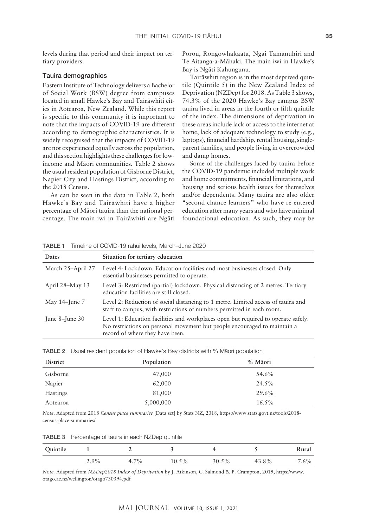levels during that period and their impact on tertiary providers.

#### Tauira demographics

Eastern Institute of Technology delivers a Bachelor of Social Work (BSW) degree from campuses located in small Hawke's Bay and Tairäwhiti cities in Aotearoa, New Zealand. While this report is specific to this community it is important to note that the impacts of COVID-19 are different according to demographic characteristics. It is widely recognised that the impacts of COVID-19 are not experienced equally across the population, and this section highlights these challenges for lowincome and Mäori communities. Table 2 shows the usual resident population of Gisborne District, Napier City and Hastings District, according to the 2018 Census.

As can be seen in the data in Table 2, both Hawke's Bay and Tairäwhiti have a higher percentage of Mäori tauira than the national percentage. The main iwi in Tairäwhiti are Ngäti Porou, Rongowhakaata, Ngai Tamanuhiri and Te Aitanga-a-Mähaki. The main iwi in Hawke's Bay is Ngäti Kahungunu.

Tairäwhiti region is in the most deprived quintile (Quintile 5) in the New Zealand Index of Deprivation (NZDep) for 2018. As Table 3 shows, 74.3% of the 2020 Hawke's Bay campus BSW tauira lived in areas in the fourth or fifth quintile of the index. The dimensions of deprivation in these areas include lack of access to the internet at home, lack of adequate technology to study (e.g., laptops), financial hardship, rental housing, singleparent families, and people living in overcrowded and damp homes.

Some of the challenges faced by tauira before the COVID-19 pandemic included multiple work and home commitments, financial limitations, and housing and serious health issues for themselves and/or dependents. Many tauira are also older "second chance learners" who have re-entered education after many years and who have minimal foundational education. As such, they may be

TABLE 1 Timeline of COVID-19 rähui levels, March–June 2020

| <b>Dates</b>      | Situation for tertiary education                                                                                                                                                                 |
|-------------------|--------------------------------------------------------------------------------------------------------------------------------------------------------------------------------------------------|
| March 25-April 27 | Level 4: Lockdown. Education facilities and most businesses closed. Only<br>essential businesses permitted to operate.                                                                           |
| April 28–May 13   | Level 3: Restricted (partial) lockdown. Physical distancing of 2 metres. Tertiary<br>education facilities are still closed.                                                                      |
| May 14–June $7$   | Level 2: Reduction of social distancing to 1 metre. Limited access of tauira and<br>staff to campus, with restrictions of numbers permitted in each room.                                        |
| June $8$ -June 30 | Level 1: Education facilities and workplaces open but required to operate safely.<br>No restrictions on personal movement but people encouraged to maintain a<br>record of where they have been. |

| <b>TABLE 2</b> Usual resident population of Hawke's Bay districts with % Maori population |
|-------------------------------------------------------------------------------------------|
|                                                                                           |

| District        | Population | % Māori  |
|-----------------|------------|----------|
| Gisborne        | 47,000     | 54.6%    |
| Napier          | 62,000     | 24.5%    |
| <b>Hastings</b> | 81,000     | 29.6%    |
| Aotearoa        | 5,000,000  | $16.5\%$ |

*Note*. Adapted from 2018 *Census place summaries* [Data set] by Stats NZ, 2018, [https://www.stats.govt.nz/tools/2018](https://www.stats.govt.nz/tools/2018-census-place-summaries/) [census-place-summaries/](https://www.stats.govt.nz/tools/2018-census-place-summaries/)

TABLE 3 Percentage of tauira in each NZDep quintile

| Quintile |                |         |          |       |       | Rural   |
|----------|----------------|---------|----------|-------|-------|---------|
|          | 2.90/<br>2.970 | $4.7\%$ | $10.5\%$ | 30.5% | 43.8% | $7.6\%$ |

*Note.* Adapted from *NZDep2018 Index of Deprivation* by J. Atkinson, C. Salmond & P. Crampton, 2019, [https://www.](https://www.otago.ac.nz/wellington/otago730394.pdf) [otago.ac.nz/wellington/otago730394.pdf](https://www.otago.ac.nz/wellington/otago730394.pdf)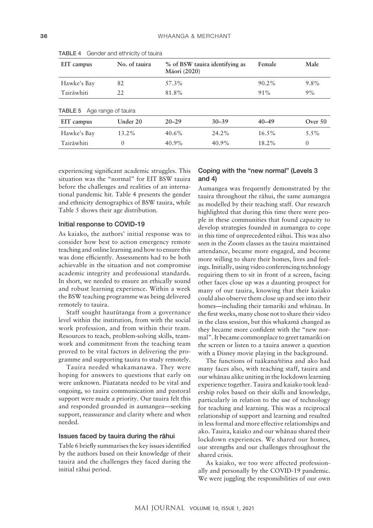| EIT campus                                       | No. of tauira | % of BSW tauira identifying as<br>Māori (2020) |           | Female    | Male      |
|--------------------------------------------------|---------------|------------------------------------------------|-----------|-----------|-----------|
| Hawke's Bay                                      | 82            | 57.3%                                          |           | $90.2\%$  | $9.8\%$   |
| Tairāwhiti                                       | 22            | 81.8%                                          |           | $91\%$    | 9%        |
| <b>TABLE 5</b> Age range of tauira<br>EIT campus | Under 20      | $20 - 29$                                      | $30 - 39$ | $40 - 49$ | Over $50$ |
| Hawke's Bay                                      | $13.2\%$      | $40.6\%$                                       | $24.2\%$  | $16.5\%$  | $5.5\%$   |
| Tairāwhiti                                       | $\Omega$      | 40.9%                                          | $40.9\%$  | 18.2%     | $\theta$  |

TABLE 4 Gender and ethnicity of tauira

experiencing significant academic struggles. This situation was the "normal" for EIT BSW tauira before the challenges and realities of an international pandemic hit. Table 4 presents the gender and ethnicity demographics of BSW tauira, while Table 5 shows their age distribution.

#### Initial response to COVID-19

As kaiako, the authors' initial response was to consider how best to action emergency remote teaching and online learning and how to ensure this was done efficiently. Assessments had to be both achievable in the situation and not compromise academic integrity and professional standards. In short, we needed to ensure an ethically sound and robust learning experience. Within a week the BSW teaching programme was being delivered remotely to tauira.

Staff sought hautütanga from a governance level within the institution, from with the social work profession, and from within their team. Resources to teach, problem-solving skills, teamwork and commitment from the teaching team proved to be vital factors in delivering the programme and supporting tauira to study remotely.

Tauira needed whakamanawa. They were hoping for answers to questions that early on were unknown. Püatatata needed to be vital and ongoing, so tauira communication and pastoral support were made a priority. Our tauira felt this and responded grounded in aumangea—seeking support, reassurance and clarity where and when needed.

#### Issues faced by tauira during the rähui

Table 6 briefly summarises the key issues identified by the authors based on their knowledge of their tauira and the challenges they faced during the initial rähui period.

#### Coping with the "new normal" (Levels 3 and 4)

Aumangea was frequently demonstrated by the tauira throughout the rähui, the same aumangea as modelled by their teaching staff. Our research highlighted that during this time there were people in these communities that found capacity to develop strategies founded in aumangea to cope in this time of unprecedented rähui. This was also seen in the Zoom classes as the tauira maintained attendance, became more engaged, and become more willing to share their homes, lives and feelings. Initially, using video conferencing technology requiring them to sit in front of a screen, facing other faces close up was a daunting prospect for many of our tauira, knowing that their kaiako could also observe them close up and see into their homes—including their tamariki and whänau. In the first weeks, many chose not to share their video in the class session, but this whakamä changed as they became more confident with the "new normal". It became commonplace to greet tamariki on the screen or listen to a tauira answer a question with a Disney movie playing in the background.

The functions of tuäkana/tëina and ako had many faces also, with teaching staff, tauira and our whänau alike uniting in the lockdown learning experience together. Tauira and kaiako took leadership roles based on their skills and knowledge, particularly in relation to the use of technology for teaching and learning. This was a reciprocal relationship of support and learning and resulted in less formal and more effective relationships and ako. Tauira, kaiako and our whänau shared their lockdown experiences. We shared our homes, our strengths and our challenges throughout the shared crisis.

As kaiako, we too were affected professionally and personally by the COVID-19 pandemic. We were juggling the responsibilities of our own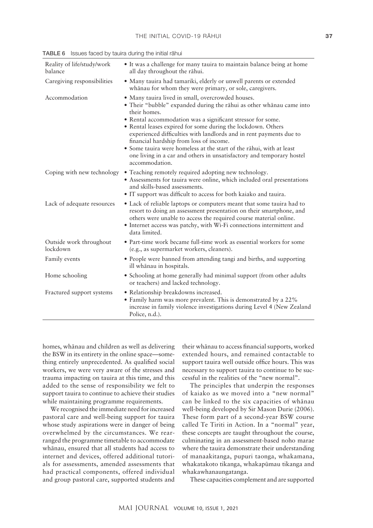| Reality of life/study/work<br>balance | • It was a challenge for many tauira to maintain balance being at home<br>all day throughout the rāhui.                                                                                                                                                                                                                                                                                                                                                                                                                                                       |
|---------------------------------------|---------------------------------------------------------------------------------------------------------------------------------------------------------------------------------------------------------------------------------------------------------------------------------------------------------------------------------------------------------------------------------------------------------------------------------------------------------------------------------------------------------------------------------------------------------------|
| Caregiving responsibilities           | • Many tauira had tamariki, elderly or unwell parents or extended<br>whanau for whom they were primary, or sole, caregivers.                                                                                                                                                                                                                                                                                                                                                                                                                                  |
| Accommodation                         | • Many tauira lived in small, overcrowded houses.<br>• Their "bubble" expanded during the rāhui as other whānau came into<br>their homes.<br>• Rental accommodation was a significant stressor for some.<br>• Rental leases expired for some during the lockdown. Others<br>experienced difficulties with landlords and in rent payments due to<br>financial hardship from loss of income.<br>• Some tauira were homeless at the start of the rāhui, with at least<br>one living in a car and others in unsatisfactory and temporary hostel<br>accommodation. |
| Coping with new technology            | • Teaching remotely required adopting new technology.<br>• Assessments for tauira were online, which included oral presentations<br>and skills-based assessments.<br>• IT support was difficult to access for both kaiako and tauira.                                                                                                                                                                                                                                                                                                                         |
| Lack of adequate resources            | • Lack of reliable laptops or computers meant that some tauira had to<br>resort to doing an assessment presentation on their smartphone, and<br>others were unable to access the required course material online.<br>• Internet access was patchy, with Wi-Fi connections intermittent and<br>data limited.                                                                                                                                                                                                                                                   |
| Outside work throughout<br>lockdown   | • Part-time work became full-time work as essential workers for some<br>(e.g., as supermarket workers, cleaners).                                                                                                                                                                                                                                                                                                                                                                                                                                             |
| Family events                         | • People were banned from attending tangi and births, and supporting<br>ill whānau in hospitals.                                                                                                                                                                                                                                                                                                                                                                                                                                                              |
| Home schooling                        | • Schooling at home generally had minimal support (from other adults<br>or teachers) and lacked technology.                                                                                                                                                                                                                                                                                                                                                                                                                                                   |
| Fractured support systems             | · Relationship breakdowns increased.<br>• Family harm was more prevalent. This is demonstrated by a 22%<br>increase in family violence investigations during Level 4 (New Zealand<br>Police, n.d.).                                                                                                                                                                                                                                                                                                                                                           |

TABLE 6 Issues faced by tauira during the initial rähui

homes, whänau and children as well as delivering the BSW in its entirety in the online space—something entirely unprecedented. As qualified social workers, we were very aware of the stresses and trauma impacting on tauira at this time, and this added to the sense of responsibility we felt to support tauira to continue to achieve their studies while maintaining programme requirements.

We recognised the immediate need for increased pastoral care and well-being support for tauira whose study aspirations were in danger of being overwhelmed by the circumstances. We rearranged the programme timetable to accommodate whänau, ensured that all students had access to internet and devices, offered additional tutorials for assessments, amended assessments that had practical components, offered individual and group pastoral care, supported students and

their whänau to access financial supports, worked extended hours, and remained contactable to support tauira well outside office hours. This was necessary to support tauira to continue to be successful in the realities of the "new normal".

The principles that underpin the responses of kaiako as we moved into a "new normal" can be linked to the six capacities of whänau well-being developed by Sir Mason Durie (2006). These form part of a second-year BSW course called Te Tiriti in Action. In a "normal" year, these concepts are taught throughout the course, culminating in an assessment-based noho marae where the tauira demonstrate their understanding of manaakitanga, pupuri taonga, whakamana, whakatakoto tikanga, whakapümau tikanga and whakawhanaungatanga.

These capacities complement and are supported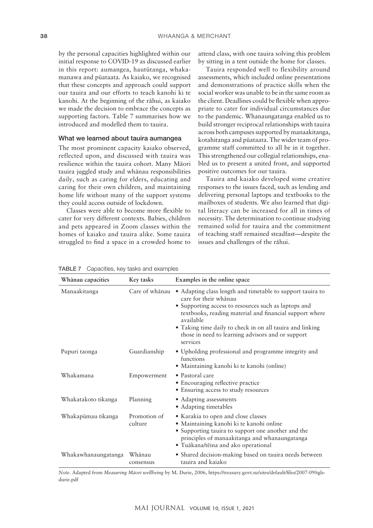by the personal capacities highlighted within our initial response to COVID-19 as discussed earlier in this report: aumangea, hautütanga, whakamanawa and püataata. As kaiako, we recognised that these concepts and approach could support our tauira and our efforts to teach kanohi ki te kanohi. At the beginning of the rähui, as kaiako we made the decision to embrace the concepts as supporting factors. Table 7 summarises how we introduced and modelled them to tauira.

#### What we learned about tauira aumangea

The most prominent capacity kaiako observed, reflected upon, and discussed with tauira was resilience within the tauira cohort. Many Mäori tauira juggled study and whänau responsibilities daily, such as caring for elders, educating and caring for their own children, and maintaining home life without many of the support systems they could access outside of lockdown.

Classes were able to become more flexible to cater for very different contexts. Babies, children and pets appeared in Zoom classes within the homes of kaiako and tauira alike. Some tauira struggled to find a space in a crowded home to attend class, with one tauira solving this problem by sitting in a tent outside the home for classes.

Tauira responded well to flexibility around assessments, which included online presentations and demonstrations of practice skills when the social worker was unable to be in the same room as the client. Deadlines could be flexible when appropriate to cater for individual circumstances due to the pandemic. Whanaungatanga enabled us to build stronger reciprocal relationships with tauira across both campuses supported by manaakitanga, kotahitanga and püataata. The wider team of programme staff committed to all be in it together. This strengthened our collegial relationships, enabled us to present a united front, and supported positive outcomes for our tauira.

Tauira and kaiako developed some creative responses to the issues faced, such as lending and delivering personal laptops and textbooks to the mailboxes of students. We also learned that digital literacy can be increased for all in times of necessity. The determination to continue studying remained solid for tauira and the commitment of teaching staff remained steadfast—despite the issues and challenges of the rähui.

TABLE 7 Capacities, key tasks and examples

**Whänau capacities Key tasks Examples in the online space** Manaakitanga Care of whänau • Adapting class length and timetable to support tauira to care for their whänau • Supporting access to resources such as laptops and textbooks, reading material and financial support where available • Taking time daily to check in on all tauira and linking those in need to learning advisors and or support services Pupuri taonga Guardianship • Upholding professional and programme integrity and functions • Maintaining kanohi ki te kanohi (online) Whakamana Empowerment • Pastoral care • Encouraging reflective practice • Ensuring access to study resources Whakatakoto tikanga Planning • Adapting assessments • Adapting timetables Whakapümau tikanga Promotion of culture • Karakia to open and close classes • Maintaining kanohi ki te kanohi online • Supporting tauira to support one another and the principles of manaakitanga and whanaungatanga • Tuäkana/tëina and ako operational Whakawhanaungatanga Whänau consensus • Shared decision-making based on tauira needs between tauira and kaiako

*Note*. Adapted from *Measuring Mäori wellbeing* by M. Durie, 2006, [https://treasury.govt.nz/sites/default/files/2007-09/tgls](https://treasury.govt.nz/sites/default/files/2007-09/tgls-durie.pdf)[durie.pdf](https://treasury.govt.nz/sites/default/files/2007-09/tgls-durie.pdf)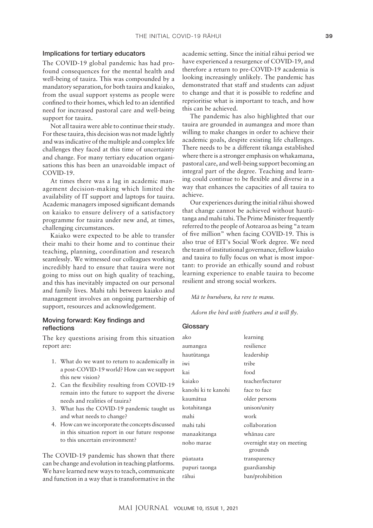#### Implications for tertiary educators

The COVID-19 global pandemic has had profound consequences for the mental health and well-being of tauira. This was compounded by a mandatory separation, for both tauira and kaiako, from the usual support systems as people were confined to their homes, which led to an identified need for increased pastoral care and well-being support for tauira.

Not all tauira were able to continue their study. For these tauira, this decision was not made lightly and was indicative of the multiple and complex life challenges they faced at this time of uncertainty and change. For many tertiary education organisations this has been an unavoidable impact of COVID-19.

At times there was a lag in academic management decision-making which limited the availability of IT support and laptops for tauira. Academic managers imposed significant demands on kaiako to ensure delivery of a satisfactory programme for tauira under new and, at times, challenging circumstances.

Kaiako were expected to be able to transfer their mahi to their home and to continue their teaching, planning, coordination and research seamlessly. We witnessed our colleagues working incredibly hard to ensure that tauira were not going to miss out on high quality of teaching, and this has inevitably impacted on our personal and family lives. Mahi tahi between kaiako and management involves an ongoing partnership of support, resources and acknowledgement.

### Moving forward: Key findings and reflections

The key questions arising from this situation report are:

- 1. What do we want to return to academically in a post-COVID-19 world? How can we support this new vision?
- 2. Can the flexibility resulting from COVID-19 remain into the future to support the diverse needs and realities of tauira?
- 3. What has the COVID-19 pandemic taught us and what needs to change?
- 4. How can we incorporate the concepts discussed in this situation report in our future response to this uncertain environment?

The COVID-19 pandemic has shown that there can be change and evolution in teaching platforms. We have learned new ways to teach, communicate and function in a way that is transformative in the

academic setting. Since the initial rähui period we have experienced a resurgence of COVID-19, and therefore a return to pre-COVID-19 academia is looking increasingly unlikely. The pandemic has demonstrated that staff and students can adjust to change and that it is possible to redefine and reprioritise what is important to teach, and how this can be achieved.

The pandemic has also highlighted that our tauira are grounded in aumangea and more than willing to make changes in order to achieve their academic goals, despite existing life challenges. There needs to be a different tikanga established where there is a stronger emphasis on whakamana, pastoral care, and well-being support becoming an integral part of the degree. Teaching and learning could continue to be flexible and diverse in a way that enhances the capacities of all tauira to achieve.

Our experiences during the initial rähui showed that change cannot be achieved without hautütanga and mahi tahi. The Prime Minister frequently referred to the people of Aotearoa as being "a team of five million" when facing COVID-19. This is also true of EIT's Social Work degree. We need the team of institutional governance, fellow kaiako and tauira to fully focus on what is most important: to provide an ethically sound and robust learning experience to enable tauira to become resilient and strong social workers.

#### *Mä te huruhuru, ka rere te manu.*

*Adorn the bird with feathers and it will fly.*

#### **Glossary**

| ako                 | learning                             |
|---------------------|--------------------------------------|
| aumangea            | resilience                           |
| hautūtanga          | leadership                           |
| iwi                 | tribe                                |
| kai                 | food                                 |
| kaiako              | teacher/lecturer                     |
| kanohi ki te kanohi | face to face                         |
| kaumātua            | older persons                        |
| kotahitanga         | unison/unity                         |
| mahi                | work                                 |
| mahi tahi           | collaboration                        |
| manaakitanga        | whānau care                          |
| noho marae          | overnight stay on meeting<br>grounds |
| pūataata            | transparency                         |
| pupuri taonga       | guardianship                         |
| rāhui               | ban/prohibition                      |
|                     |                                      |